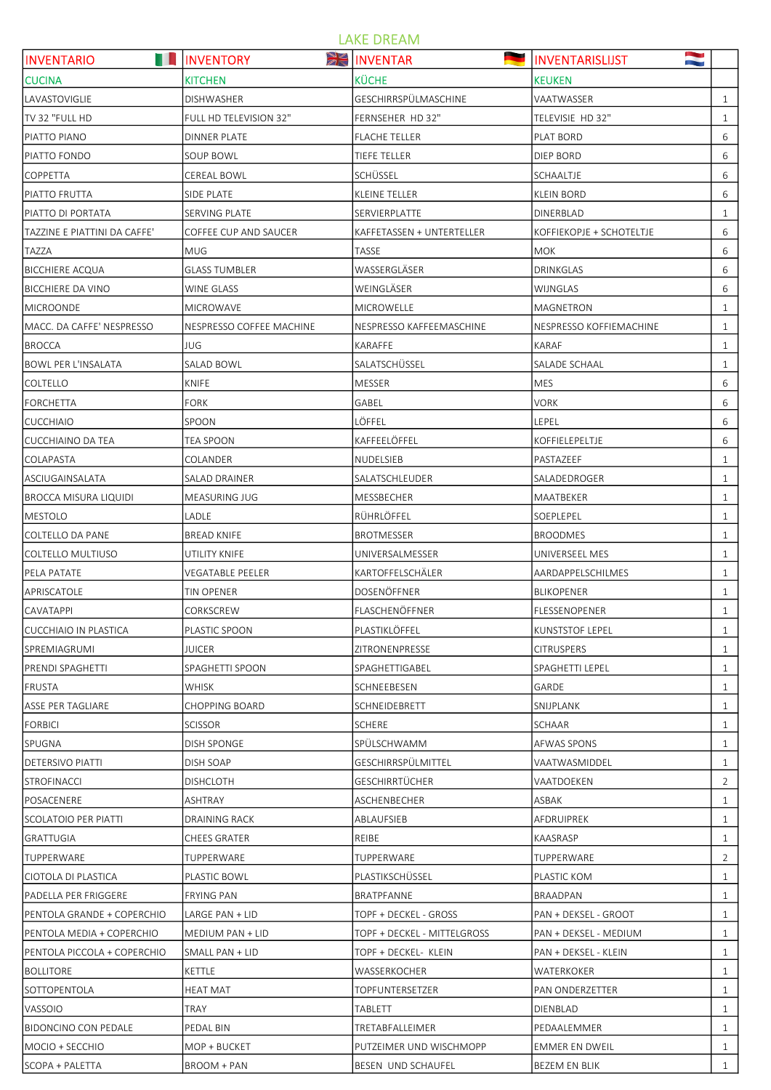## LAKE DREAM

| <b>The Co</b><br><b>INVENTARIO</b> | XE<br><b>INVENTORY</b>   | <b>INVENTAR</b>             | <b>INVENTARISLIJST</b>   | N              |
|------------------------------------|--------------------------|-----------------------------|--------------------------|----------------|
| <b>CUCINA</b>                      | <b>KITCHEN</b>           | <b>KÜCHE</b>                | <b>KEUKEN</b>            |                |
| <b>LAVASTOVIGLIE</b>               | DISHWASHER               | GESCHIRRSPÜLMASCHINE        | VAATWASSER               | 1              |
| TV 32 "FULL HD                     | FULL HD TELEVISION 32"   | FERNSEHER HD 32"            | TELEVISIE HD 32"         | 1              |
| PIATTO PIANO                       | <b>DINNER PLATE</b>      | <b>FLACHE TELLER</b>        | PLAT BORD                | 6              |
| PIATTO FONDO                       | <b>SOUP BOWL</b>         | TIEFE TELLER                | DIEP BORD                | 6              |
| <b>COPPETTA</b>                    | <b>CEREAL BOWL</b>       | SCHÜSSEL                    | SCHAALTJE                | 6              |
| PIATTO FRUTTA                      | SIDE PLATE               | KLEINE TELLER               | <b>KLEIN BORD</b>        | 6              |
| PIATTO DI PORTATA                  | <b>SERVING PLATE</b>     | SERVIERPLATTE               | <b>DINERBLAD</b>         | $\mathbf{1}$   |
| TAZZINE E PIATTINI DA CAFFE'       | COFFEE CUP AND SAUCER    | KAFFETASSEN + UNTERTELLER   | KOFFIEKOPJE + SCHOTELTJE | 6              |
| <b>TAZZA</b>                       | <b>MUG</b>               | TASSE                       | <b>MOK</b>               | 6              |
| BICCHIERE ACQUA                    | <b>GLASS TUMBLER</b>     | WASSERGLÄSER                | DRINKGLAS                | 6              |
| BICCHIERE DA VINO                  | <b>WINE GLASS</b>        | WEINGLÄSER                  | WIJNGLAS                 | 6              |
| <b>MICROONDE</b>                   | <b>MICROWAVE</b>         | <b>MICROWELLE</b>           | <b>MAGNETRON</b>         | $\mathbf{1}$   |
| MACC. DA CAFFE' NESPRESSO          | NESPRESSO COFFEE MACHINE | NESPRESSO KAFFEEMASCHINE    | NESPRESSO KOFFIEMACHINE  | $\mathbf{1}$   |
| <b>BROCCA</b>                      | <b>JUG</b>               | KARAFFE                     | KARAF                    | $\mathbf{1}$   |
| <b>BOWL PER L'INSALATA</b>         | <b>SALAD BOWL</b>        | SALATSCHÜSSEL               | SALADE SCHAAL            | 1              |
| <b>COLTELLO</b>                    | KNIFE                    | <b>MESSER</b>               | <b>MES</b>               | 6              |
| FORCHETTA                          | <b>FORK</b>              | GABEL                       | <b>VORK</b>              | 6              |
| <b>CUCCHIAIO</b>                   | SPOON                    | LÖFFEL                      | LEPEL                    | 6              |
| <b>CUCCHIAINO DA TEA</b>           | TEA SPOON                | KAFFEELÖFFEL                | KOFFIELEPELTJE           | 6              |
| <b>COLAPASTA</b>                   | COLANDER                 | NUDELSIEB                   | PASTAZEEF                | $\mathbf{1}$   |
| ASCIUGAINSALATA                    | SALAD DRAINER            | SALATSCHLEUDER              | SALADEDROGER             | $\mathbf{1}$   |
| BROCCA MISURA LIQUIDI              | MEASURING JUG            | MESSBECHER                  | MAATBEKER                | 1              |
| MESTOLO                            | LADLE                    | RÜHRLÖFFEL                  | SOEPLEPEL                | $\mathbf{1}$   |
| COLTELLO DA PANE                   | <b>BREAD KNIFE</b>       | BROTMESSER                  | <b>BROODMES</b>          | $\mathbf{1}$   |
| COLTELLO MULTIUSO                  | UTILITY KNIFE            | UNIVERSALMESSER             | UNIVERSEEL MES           | $\mathbf{1}$   |
| PELA PATATE                        | <b>VEGATABLE PEELER</b>  | KARTOFFELSCHÄLER            | AARDAPPELSCHILMES        | $\mathbf{1}$   |
| APRISCATOLE                        | <b>TIN OPENER</b>        | DOSENÖFFNER                 | <b>BLIKOPENER</b>        | $\mathbf{1}$   |
| <b>CAVATAPPI</b>                   | CORKSCREW                | FLASCHENÖFFNER              | FLESSENOPENER            | $\mathbf{1}$   |
| <b>CUCCHIAIO IN PLASTICA</b>       | PLASTIC SPOON            | PLASTIKLÖFFEL               | KUNSTSTOF LEPEL          | $\mathbf{1}$   |
| <b>SPREMIAGRUMI</b>                | JUICER                   | ZITRONENPRESSE              | <b>CITRUSPERS</b>        | $\mathbf{1}$   |
| PRENDI SPAGHETTI                   | SPAGHETTI SPOON          | SPAGHETTIGABEL              | SPAGHETTI LEPEL          | $\mathbf{1}$   |
| <b>FRUSTA</b>                      | <b>WHISK</b>             | SCHNEEBESEN                 | GARDE                    | $\mathbf{1}$   |
| <b>ASSE PER TAGLIARE</b>           | <b>CHOPPING BOARD</b>    | SCHNEIDEBRETT               | SNIJPLANK                | $\mathbf{1}$   |
| FORBICI                            | <b>SCISSOR</b>           | <b>SCHERE</b>               | SCHAAR                   | $\mathbf{1}$   |
| SPUGNA                             | DISH SPONGE              | SPÜLSCHWAMM                 | AFWAS SPONS              | $\mathbf{1}$   |
| <b>DETERSIVO PIATTI</b>            | DISH SOAP                | GESCHIRRSPÜLMITTEL          | VAATWASMIDDEL            | $\mathbf{1}$   |
| <b>STROFINACCI</b>                 | <b>DISHCLOTH</b>         | <b>GESCHIRRTÜCHER</b>       | VAATDOEKEN               | $\overline{2}$ |
| POSACENERE                         | ASHTRAY                  | ASCHENBECHER                | ASBAK                    | $\mathbf{1}$   |
| SCOLATOIO PER PIATTI               | DRAINING RACK            | ABLAUFSIEB                  | AFDRUIPREK               | $\mathbf{1}$   |
| <b>GRATTUGIA</b>                   | CHEES GRATER             | REIBE                       | KAASRASP                 | $\mathbf{1}$   |
| <b>TUPPERWARE</b>                  | TUPPERWARE               | TUPPERWARE                  | TUPPERWARE               | $\overline{2}$ |
| CIOTOLA DI PLASTICA                | PLASTIC BOWL             | PLASTIKSCHÜSSEL             | PLASTIC KOM              | $\mathbf{1}$   |
| PADELLA PER FRIGGERE               | <b>FRYING PAN</b>        | BRATPFANNE                  | BRAADPAN                 | $\mathbf{1}$   |
| PENTOLA GRANDE + COPERCHIO         | LARGE PAN + LID          | TOPF + DECKEL - GROSS       | PAN + DEKSEL - GROOT     | 1              |
| PENTOLA MEDIA + COPERCHIO          | MEDIUM PAN + LID         | TOPF + DECKEL - MITTELGROSS | PAN + DEKSEL - MEDIUM    | $\mathbf{1}$   |
| PENTOLA PICCOLA + COPERCHIO        | SMALL PAN + LID          | TOPF + DECKEL- KLEIN        | PAN + DEKSEL - KLEIN     | $\mathbf{1}$   |
| BOLLITORE                          | KETTLE                   | WASSERKOCHER                | WATERKOKER               | $\mathbf{1}$   |
| SOTTOPENTOLA                       | <b>HEAT MAT</b>          | TOPFUNTERSETZER             | <b>PAN ONDERZETTER</b>   | $\mathbf{1}$   |
| <b>VASSOIO</b>                     | TRAY                     | TABLETT                     | DIENBLAD                 | $\mathbf{1}$   |
| <b>BIDONCINO CON PEDALE</b>        | PEDAL BIN                | TRETABFALLEIMER             | PEDAALEMMER              | $\mathbf{1}$   |
| MOCIO + SECCHIO                    | MOP + BUCKET             | PUTZEIMER UND WISCHMOPP     | <b>EMMER EN DWEIL</b>    | $\mathbf{1}$   |
| SCOPA + PALETTA                    | BROOM + PAN              | BESEN UND SCHAUFEL          | BEZEM EN BLIK            | $\mathbf{1}$   |
|                                    |                          |                             |                          |                |